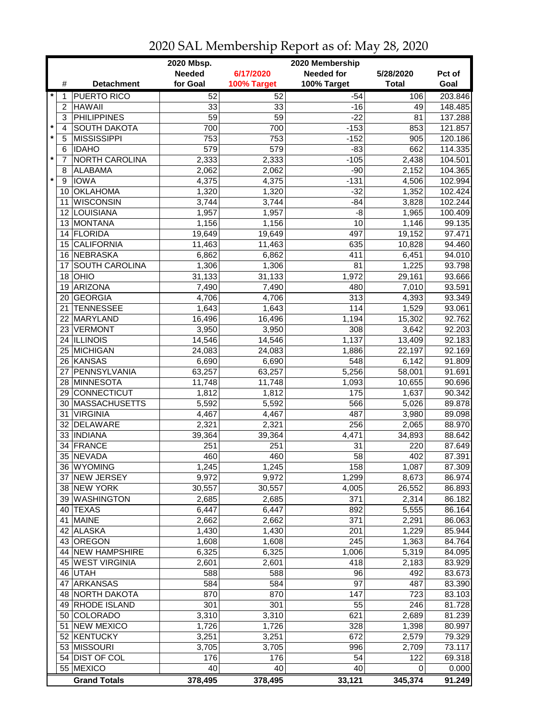|         |                | 2020 Mbsp.<br>2020 Membership |               |             |                   |              |         |  |
|---------|----------------|-------------------------------|---------------|-------------|-------------------|--------------|---------|--|
|         |                |                               | <b>Needed</b> | 6/17/2020   | <b>Needed for</b> | 5/28/2020    | Pct of  |  |
|         | #              | <b>Detachment</b>             | for Goal      | 100% Target | 100% Target       | <b>Total</b> | Goal    |  |
| $\star$ | 1              | <b>PUERTO RICO</b>            | 52            | 52          | $-54$             | 106          | 203.846 |  |
|         | $\overline{c}$ | <b>HAWAII</b>                 | 33            | 33          | $-16$             | 49           | 148.485 |  |
|         | 3              | <b>PHILIPPINES</b>            | 59            | 59          | $-22$             | 81           | 137.288 |  |
| $\star$ | 4              | <b>SOUTH DAKOTA</b>           | 700           | 700         | $-153$            | 853          | 121.857 |  |
| $\star$ | 5              | <b>MISSISSIPPI</b>            | 753           | 753         | $-152$            | 905          | 120.186 |  |
|         | 6              | <b>IDAHO</b>                  | 579           | 579         | $-83$             | 662          | 114.335 |  |
| $\star$ | 7              | NORTH CAROLINA                | 2,333         | 2,333       | $-105$            | 2,438        | 104.501 |  |
|         | 8              | <b>ALABAMA</b>                | 2,062         | 2,062       | $-90$             | 2,152        | 104.365 |  |
| $\star$ | 9              | <b>IOWA</b>                   | 4,375         | 4,375       | $-131$            | 4,506        | 102.994 |  |
|         |                | 10 OKLAHOMA                   | 1,320         | 1,320       | $-32$             | 1,352        | 102.424 |  |
|         | 11             | <b>WISCONSIN</b>              | 3,744         | 3,744       | $-84$             | 3,828        | 102.244 |  |
|         |                | 12 LOUISIANA                  | 1,957         | 1,957       | $-8$              | 1,965        | 100.409 |  |
|         |                | 13 MONTANA                    | 1,156         | 1,156       | 10                | 1,146        | 99.135  |  |
|         |                | 14 FLORIDA                    | 19,649        | 19,649      | 497               | 19,152       | 97.471  |  |
|         |                | 15 CALIFORNIA                 | 11,463        | 11,463      | 635               | 10,828       | 94.460  |  |
|         |                | 16 NEBRASKA                   | 6,862         | 6,862       | 411               | 6,451        | 94.010  |  |
|         | 17             | SOUTH CAROLINA                | 1,306         | 1,306       | 81                | 1,225        | 93.798  |  |
|         | 18             | OHIO                          | 31,133        | 31,133      | 1,972             | 29,161       | 93.666  |  |
|         | 19             | ARIZONA                       | 7,490         | 7,490       | 480               | 7,010        | 93.591  |  |
|         | 20 I           | <b>GEORGIA</b>                | 4,706         | 4,706       | 313               | 4,393        | 93.349  |  |
|         | 21             | <b>TENNESSEE</b>              | 1,643         | 1,643       | 114               | 1,529        | 93.061  |  |
|         | 22             | MARYLAND                      | 16,496        | 16,496      | 1,194             | 15,302       | 92.762  |  |
|         |                | 23 VERMONT                    | 3,950         | 3,950       | 308               | 3,642        | 92.203  |  |
|         |                | 24 ILLINOIS                   | 14,546        | 14,546      | 1,137             | 13,409       | 92.183  |  |
|         |                | 25 MICHIGAN                   | 24,083        | 24,083      | 1,886             | 22,197       | 92.169  |  |
|         |                | 26 KANSAS                     | 6,690         | 6,690       | 548               | 6,142        | 91.809  |  |
|         | 27             | PENNSYLVANIA                  | 63,257        | 63,257      | 5,256             | 58,001       | 91.691  |  |
|         |                | 28 MINNESOTA                  | 11,748        | 11,748      | 1,093             | 10,655       | 90.696  |  |
|         |                | 29 CONNECTICUT                | 1,812         | 1,812       | 175               | 1,637        | 90.342  |  |
|         | 30             | <b>MASSACHUSETTS</b>          | 5,592         | 5,592       | 566               | 5,026        | 89.878  |  |
|         | 31             | <b>VIRGINIA</b>               | 4,467         | 4,467       | 487               | 3,980        | 89.098  |  |
|         | 32             | <b>DELAWARE</b>               | 2,321         | 2,321       | 256               | 2,065        | 88.970  |  |
|         |                | 33 INDIANA                    | 39,364        | 39,364      | 4,471             | 34,893       | 88.642  |  |
|         | 34             | FRANCE                        | 251           | 251         | 31                | 220          | 87.649  |  |
|         |                | 35 NEVADA                     | 460           | 460         | 58                | 402          | 87.391  |  |
|         |                | 36   WYOMING                  | 1,245         | 1,245       | 158               | 1,087        | 87.309  |  |
|         |                | 37 NEW JERSEY                 | 9,972         | 9,972       | 1,299             | 8,673        | 86.974  |  |
|         |                | 38 NEW YORK                   | 30,557        | 30,557      | 4,005             | 26,552       | 86.893  |  |
|         |                | 39 WASHINGTON                 | 2,685         | 2,685       | 371               | 2,314        | 86.182  |  |
|         |                | 40 TEXAS                      | 6,447         | 6,447       | 892               | 5,555        | 86.164  |  |
|         |                | 41 MAINE                      | 2,662         | 2,662       | 371               | 2,291        | 86.063  |  |
|         |                | 42 ALASKA                     | 1,430         | 1,430       | 201               | 1,229        | 85.944  |  |
|         |                | 43 OREGON                     | 1,608         | 1,608       | 245               | 1,363        | 84.764  |  |
|         |                | 44 NEW HAMPSHIRE              | 6,325         | 6,325       | 1,006             | 5,319        | 84.095  |  |
|         |                | 45 WEST VIRGINIA              | 2,601         | 2,601       | 418               | 2,183        | 83.929  |  |
|         |                | 46 UTAH                       | 588           | 588         | 96                | 492          | 83.673  |  |
|         |                | 47 ARKANSAS                   | 584           | 584         | 97                | 487          | 83.390  |  |
|         |                | 48 NORTH DAKOTA               | 870           | 870         | 147               | 723          | 83.103  |  |
|         |                | 49 RHODE ISLAND               | 301           | 301         | 55                | 246          | 81.728  |  |
|         |                | 50 COLORADO                   | 3,310         | 3,310       | 621               | 2,689        | 81.239  |  |
|         |                | 51 NEW MEXICO                 | 1,726         | 1,726       | 328               | 1,398        | 80.997  |  |
|         |                | 52 KENTUCKY                   | 3,251         | 3,251       | 672               | 2,579        | 79.329  |  |
|         |                | 53 MISSOURI                   | 3,705         | 3,705       | 996               | 2,709        | 73.117  |  |
|         |                | 54 DIST OF COL                | 176           | 176         | 54                | 122          | 69.318  |  |
|         |                | 55 MEXICO                     | 40            | 40          | 40                | 0            | 0.000   |  |
|         |                | <b>Grand Totals</b>           | 378,495       | 378,495     | 33,121            | 345,374      | 91.249  |  |

## 2020 SAL Membership Report as of: May 28, 2020